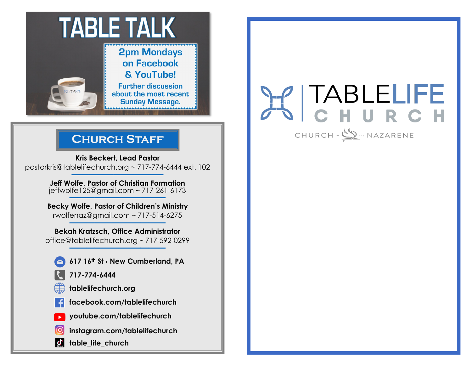

## **Church Staff**

**Kris Beckert, Lead Pastor** pastorkris@tablelifechurch.org ~ 717-774-6444 ext. 102 **———————–———–**

> **Jeff Wolfe, Pastor of Christian Formation**  jeffwolfe125@gmail.com ~ 717-261-6173 **———————–————**

**Becky Wolfe, Pastor of Children's Ministry** rwolfenaz@gmail.com ~ 717-514-6275 **———————–————**

**Bekah Kratzsch, Office Administrator** office@tablelifechurch.org ~ 717-592-0299 **———————–————**

- **617 16th St** ⬧ **New Cumberland, PA**
- **717-774-6444**
- **tablelifechurch.org**
- **facebook.com/tablelifechurch**
- **youtube.com/tablelifechurch**
- **instagram.com/tablelifechurch**
- $\mathbf{d}$ **table\_life\_church**

# TABLELIFE URCH

CHURCH OF SALTHE NAZARENE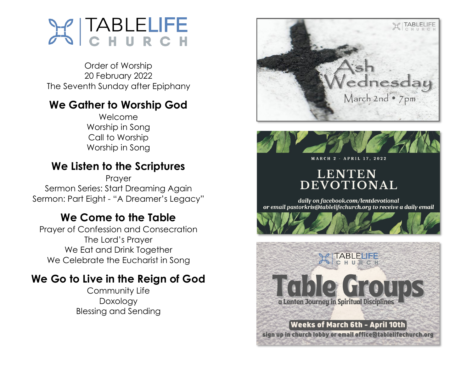

Order of Worship 20 February 2022 The Seventh Sunday after Epiphany

## **We Gather to Worship God**

Welcome Worship in Song Call to Worship Worship in Song

## **We Listen to the Scriptures**

Prayer Sermon Series: Start Dreaming Again Sermon: Part Eight - "A Dreamer's Legacy"

## **We Come to the Table**

Prayer of Confession and Consecration The Lord's Prayer We Eat and Drink Together We Celebrate the Eucharist in Song

## **We Go to Live in the Reign of God**

Community Life Doxology Blessing and Sending



# **LENTEN** DEVOTIONAL

daily on facebook.com/lentdevotional or email pastorkris@tablelifechurch.org to receive a daily email



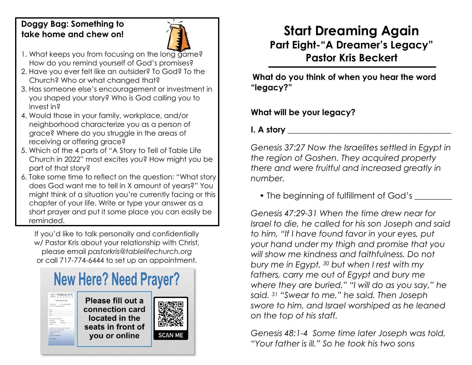## **Doggy Bag: Something to take home and chew on!**



- 1. What keeps you from focusing on the long game? How do you remind yourself of God's promises?
- 2. Have you ever felt like an outsider? To God? To the Church? Who or what changed that?
- 3. Has someone else's encouragement or investment in you shaped your story? Who is God calling you to invest in?
- 4. Would those in your family, workplace, and/or neighborhood characterize you as a person of grace? Where do you struggle in the areas of receiving or offering grace?
- 5. Which of the 4 parts of "A Story to Tell of Table Life Church in 2022" most excites you? How might you be part of that story?
- 6. Take some time to reflect on the question: "What story does God want me to tell in X amount of years?" You might think of a situation you're currently facing or this chapter of your life. Write or type your answer as a short prayer and put it some place you can easily be reminded.

If you'd like to talk personally and confidentially w/ Pastor Kris about your relationship with Christ, please email *pastorkris@tablelifechurch.org* or call 717-774-6444 to set up an appointment.



# **Start Dreaming Again Part Eight-"A Dreamer's Legacy" Pastor Kris Beckert**

**What do you think of when you hear the word "legacy?"**

## **What will be your legacy?**

**I. A story \_\_\_\_\_\_\_\_\_\_\_\_\_\_\_\_\_\_\_\_\_\_\_\_\_\_\_\_\_\_\_\_\_\_\_\_\_\_\_**

*Genesis 37:27 Now the Israelites settled in Egypt in the region of Goshen. They acquired property there and were fruitful and increased greatly in number.*

• The beginning of fulfillment of God's

*Genesis 47:29-31 When the time drew near for Israel to die, he called for his son Joseph and said to him, "If I have found favor in your eyes, put your hand under my thigh and promise that you will show me kindness and faithfulness. Do not bury me in Egypt, <sup>30</sup> but when I rest with my fathers, carry me out of Egypt and bury me where they are buried." "I will do as you say," he said. <sup>31</sup> "Swear to me," he said. Then Joseph swore to him, and Israel worshiped as he leaned on the top of his staff.*

*Genesis 48:1-4 Some time later Joseph was told, "Your father is ill." So he took his two sons*